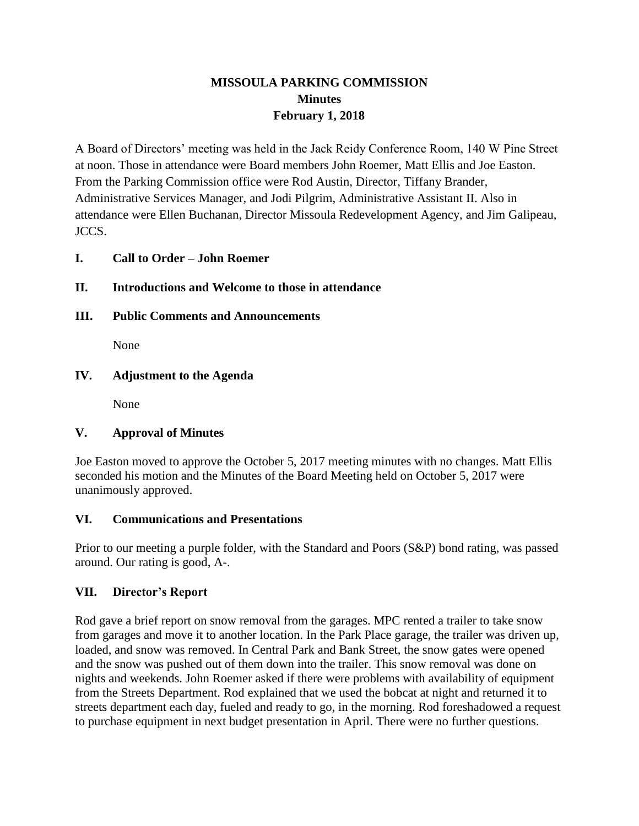## **MISSOULA PARKING COMMISSION Minutes February 1, 2018**

A Board of Directors' meeting was held in the Jack Reidy Conference Room, 140 W Pine Street at noon. Those in attendance were Board members John Roemer, Matt Ellis and Joe Easton. From the Parking Commission office were Rod Austin, Director, Tiffany Brander, Administrative Services Manager, and Jodi Pilgrim, Administrative Assistant II. Also in attendance were Ellen Buchanan, Director Missoula Redevelopment Agency, and Jim Galipeau, JCCS.

#### **I. Call to Order – John Roemer**

#### **II. Introductions and Welcome to those in attendance**

**III. Public Comments and Announcements**

None

#### **IV. Adjustment to the Agenda**

None

#### **V. Approval of Minutes**

Joe Easton moved to approve the October 5, 2017 meeting minutes with no changes. Matt Ellis seconded his motion and the Minutes of the Board Meeting held on October 5, 2017 were unanimously approved.

#### **VI. Communications and Presentations**

Prior to our meeting a purple folder, with the Standard and Poors (S&P) bond rating, was passed around. Our rating is good, A-.

#### **VII. Director's Report**

Rod gave a brief report on snow removal from the garages. MPC rented a trailer to take snow from garages and move it to another location. In the Park Place garage, the trailer was driven up, loaded, and snow was removed. In Central Park and Bank Street, the snow gates were opened and the snow was pushed out of them down into the trailer. This snow removal was done on nights and weekends. John Roemer asked if there were problems with availability of equipment from the Streets Department. Rod explained that we used the bobcat at night and returned it to streets department each day, fueled and ready to go, in the morning. Rod foreshadowed a request to purchase equipment in next budget presentation in April. There were no further questions.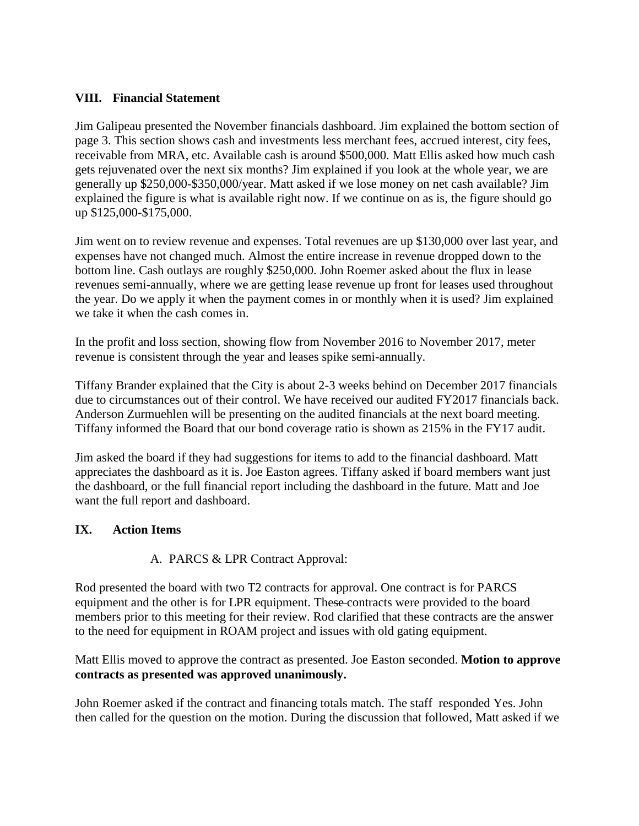### **VIII. Financial Statement**

Jim Galipeau presented the November financials dashboard. Jim explained the bottom section of page 3. This section shows cash and investments less merchant fees, accrued interest, city fees, receivable from MRA, etc. Available cash is around \$500,000. Matt Ellis asked how much cash gets rejuvenated over the next six months? Jim explained if you look at the whole year, we are generally up \$250,000-\$350,000/year. Matt asked if we lose money on net cash available? Jim explained the figure is what is available right now. If we continue on as is, the figure should go up \$125,000-\$175,000.

Jim went on to review revenue and expenses. Total revenues are up \$130,000 over last year, and expenses have not changed much. Almost the entire increase in revenue dropped down to the bottom line. Cash outlays are roughly \$250,000. John Roemer asked about the flux in lease revenues semi-annually, where we are getting lease revenue up front for leases used throughout the year. Do we apply it when the payment comes in or monthly when it is used? Jim explained we take it when the cash comes in.

In the profit and loss section, showing flow from November 2016 to November 2017, meter revenue is consistent through the year and leases spike semi-annually.

Tiffany Brander explained that the City is about 2-3 weeks behind on December 2017 financials due to circumstances out of their control. We have received our audited FY2017 financials back. Anderson Zurmuehlen will be presenting on the audited financials at the next board meeting. Tiffany informed the Board that our bond coverage ratio is shown as 215% in the FY17 audit.

Jim asked the board if they had suggestions for items to add to the financial dashboard. Matt appreciates the dashboard as it is. Joe Easton agrees. Tiffany asked if board members want just the dashboard, or the full financial report including the dashboard in the future. Matt and Joe want the full report and dashboard.

#### **IX. Action Items**

#### A. PARCS & LPR Contract Approval:

Rod presented the board with two T2 contracts for approval. One contract is for PARCS equipment and the other is for LPR equipment. These contracts were provided to the board members prior to this meeting for their review. Rod clarified that these contracts are the answer to the need for equipment in ROAM project and issues with old gating equipment.

Matt Ellis moved to approve the contract as presented. Joe Easton seconded. **Motion to approve contracts as presented was approved unanimously.**

John Roemer asked if the contract and financing totals match. The staff responded Yes. John then called for the question on the motion. During the discussion that followed, Matt asked if we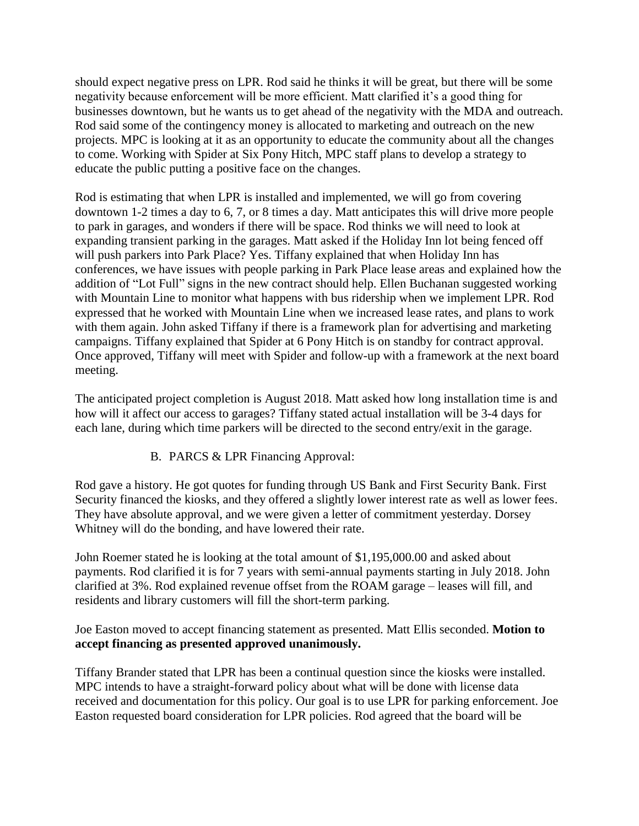should expect negative press on LPR. Rod said he thinks it will be great, but there will be some negativity because enforcement will be more efficient. Matt clarified it's a good thing for businesses downtown, but he wants us to get ahead of the negativity with the MDA and outreach. Rod said some of the contingency money is allocated to marketing and outreach on the new projects. MPC is looking at it as an opportunity to educate the community about all the changes to come. Working with Spider at Six Pony Hitch, MPC staff plans to develop a strategy to educate the public putting a positive face on the changes.

Rod is estimating that when LPR is installed and implemented, we will go from covering downtown 1-2 times a day to 6, 7, or 8 times a day. Matt anticipates this will drive more people to park in garages, and wonders if there will be space. Rod thinks we will need to look at expanding transient parking in the garages. Matt asked if the Holiday Inn lot being fenced off will push parkers into Park Place? Yes. Tiffany explained that when Holiday Inn has conferences, we have issues with people parking in Park Place lease areas and explained how the addition of "Lot Full" signs in the new contract should help. Ellen Buchanan suggested working with Mountain Line to monitor what happens with bus ridership when we implement LPR. Rod expressed that he worked with Mountain Line when we increased lease rates, and plans to work with them again. John asked Tiffany if there is a framework plan for advertising and marketing campaigns. Tiffany explained that Spider at 6 Pony Hitch is on standby for contract approval. Once approved, Tiffany will meet with Spider and follow-up with a framework at the next board meeting.

The anticipated project completion is August 2018. Matt asked how long installation time is and how will it affect our access to garages? Tiffany stated actual installation will be 3-4 days for each lane, during which time parkers will be directed to the second entry/exit in the garage.

#### B. PARCS & LPR Financing Approval:

Rod gave a history. He got quotes for funding through US Bank and First Security Bank. First Security financed the kiosks, and they offered a slightly lower interest rate as well as lower fees. They have absolute approval, and we were given a letter of commitment yesterday. Dorsey Whitney will do the bonding, and have lowered their rate.

John Roemer stated he is looking at the total amount of \$1,195,000.00 and asked about payments. Rod clarified it is for 7 years with semi-annual payments starting in July 2018. John clarified at 3%. Rod explained revenue offset from the ROAM garage – leases will fill, and residents and library customers will fill the short-term parking.

#### Joe Easton moved to accept financing statement as presented. Matt Ellis seconded. **Motion to accept financing as presented approved unanimously.**

Tiffany Brander stated that LPR has been a continual question since the kiosks were installed. MPC intends to have a straight-forward policy about what will be done with license data received and documentation for this policy. Our goal is to use LPR for parking enforcement. Joe Easton requested board consideration for LPR policies. Rod agreed that the board will be